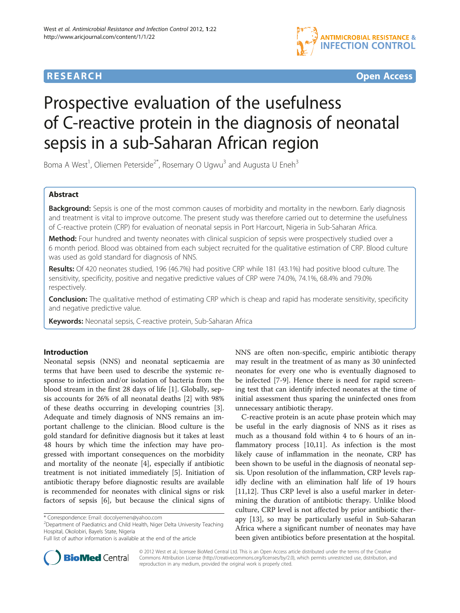# **RESEARCH CHE Open Access**



# Prospective evaluation of the usefulness of C-reactive protein in the diagnosis of neonatal sepsis in a sub-Saharan African region

Boma A West<sup>1</sup>, Oliemen Peterside<sup>2\*</sup>, Rosemary O Ugwu<sup>3</sup> and Augusta U Eneh<sup>3</sup>

# Abstract

Background: Sepsis is one of the most common causes of morbidity and mortality in the newborn. Early diagnosis and treatment is vital to improve outcome. The present study was therefore carried out to determine the usefulness of C-reactive protein (CRP) for evaluation of neonatal sepsis in Port Harcourt, Nigeria in Sub-Saharan Africa.

Method: Four hundred and twenty neonates with clinical suspicion of sepsis were prospectively studied over a 6 month period. Blood was obtained from each subject recruited for the qualitative estimation of CRP. Blood culture was used as gold standard for diagnosis of NNS.

Results: Of 420 neonates studied, 196 (46.7%) had positive CRP while 181 (43.1%) had positive blood culture. The sensitivity, specificity, positive and negative predictive values of CRP were 74.0%, 74.1%, 68.4% and 79.0% respectively.

Conclusion: The qualitative method of estimating CRP which is cheap and rapid has moderate sensitivity, specificity and negative predictive value.

Keywords: Neonatal sepsis, C-reactive protein, Sub-Saharan Africa

# Introduction

Neonatal sepsis (NNS) and neonatal septicaemia are terms that have been used to describe the systemic response to infection and/or isolation of bacteria from the blood stream in the first 28 days of life [\[1](#page-4-0)]. Globally, sepsis accounts for 26% of all neonatal deaths [[2\]](#page-4-0) with 98% of these deaths occurring in developing countries [\[3](#page-4-0)]. Adequate and timely diagnosis of NNS remains an important challenge to the clinician. Blood culture is the gold standard for definitive diagnosis but it takes at least 48 hours by which time the infection may have progressed with important consequences on the morbidity and mortality of the neonate [[4](#page-4-0)], especially if antibiotic treatment is not initiated immediately [[5\]](#page-4-0). Initiation of antibiotic therapy before diagnostic results are available is recommended for neonates with clinical signs or risk factors of sepsis [\[6](#page-4-0)], but because the clinical signs of

<sup>2</sup>Department of Paediatrics and Child Health, Niger Delta University Teaching Hospital, Okolobiri, Bayels State, Nigeria



C-reactive protein is an acute phase protein which may be useful in the early diagnosis of NNS as it rises as much as a thousand fold within 4 to 6 hours of an inflammatory process [[10](#page-4-0),[11](#page-4-0)]. As infection is the most likely cause of inflammation in the neonate, CRP has been shown to be useful in the diagnosis of neonatal sepsis. Upon resolution of the inflammation, CRP levels rapidly decline with an elimination half life of 19 hours [[11,12\]](#page-4-0). Thus CRP level is also a useful marker in determining the duration of antibiotic therapy. Unlike blood culture, CRP level is not affected by prior antibiotic therapy [\[13](#page-4-0)], so may be particularly useful in Sub-Saharan Africa where a significant number of neonates may have been given antibiotics before presentation at the hospital.



© 2012 West et al.; licensee BioMed Central Ltd. This is an Open Access article distributed under the terms of the Creative Commons Attribution License [\(http://creativecommons.org/licenses/by/2.0\)](http://creativecommons.org/licenses/by/2.0), which permits unrestricted use, distribution, and reproduction in any medium, provided the original work is properly cited.

<sup>\*</sup> Correspondence: [Email: docolyemen@yahoo.com](mailto:Email: docolyemen@yahoo.com) <sup>2</sup>

Full list of author information is available at the end of the article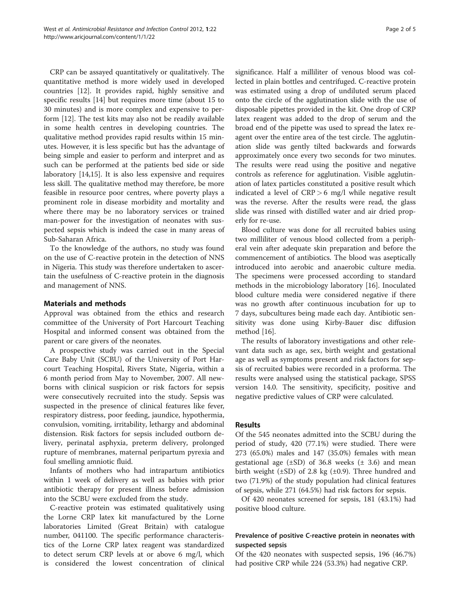CRP can be assayed quantitatively or qualitatively. The quantitative method is more widely used in developed countries [\[12](#page-4-0)]. It provides rapid, highly sensitive and specific results [[14](#page-4-0)] but requires more time (about 15 to 30 minutes) and is more complex and expensive to perform [[12\]](#page-4-0). The test kits may also not be readily available in some health centres in developing countries. The qualitative method provides rapid results within 15 minutes. However, it is less specific but has the advantage of being simple and easier to perform and interpret and as such can be performed at the patients bed side or side laboratory [\[14,15](#page-4-0)]. It is also less expensive and requires less skill. The qualitative method may therefore, be more feasible in resource poor centres, where poverty plays a prominent role in disease morbidity and mortality and where there may be no laboratory services or trained man-power for the investigation of neonates with suspected sepsis which is indeed the case in many areas of Sub-Saharan Africa.

To the knowledge of the authors, no study was found on the use of C-reactive protein in the detection of NNS in Nigeria. This study was therefore undertaken to ascertain the usefulness of C-reactive protein in the diagnosis and management of NNS.

#### Materials and methods

Approval was obtained from the ethics and research committee of the University of Port Harcourt Teaching Hospital and informed consent was obtained from the parent or care givers of the neonates.

A prospective study was carried out in the Special Care Baby Unit (SCBU) of the University of Port Harcourt Teaching Hospital, Rivers State, Nigeria, within a 6 month period from May to November, 2007. All newborns with clinical suspicion or risk factors for sepsis were consecutively recruited into the study. Sepsis was suspected in the presence of clinical features like fever, respiratory distress, poor feeding, jaundice, hypothermia, convulsion, vomiting, irritability, lethargy and abdominal distension. Risk factors for sepsis included outborn delivery, perinatal asphyxia, preterm delivery, prolonged rupture of membranes, maternal peripartum pyrexia and foul smelling amniotic fluid.

Infants of mothers who had intrapartum antibiotics within 1 week of delivery as well as babies with prior antibiotic therapy for present illness before admission into the SCBU were excluded from the study.

C-reactive protein was estimated qualitatively using the Lorne CRP latex kit manufactured by the Lorne laboratories Limited (Great Britain) with catalogue number, 041100. The specific performance characteristics of the Lorne CRP latex reagent was standardized to detect serum CRP levels at or above 6 mg/l, which is considered the lowest concentration of clinical

significance. Half a milliliter of venous blood was collected in plain bottles and centrifuged. C-reactive protein was estimated using a drop of undiluted serum placed onto the circle of the agglutination slide with the use of disposable pipettes provided in the kit. One drop of CRP latex reagent was added to the drop of serum and the broad end of the pipette was used to spread the latex reagent over the entire area of the test circle. The agglutination slide was gently tilted backwards and forwards approximately once every two seconds for two minutes. The results were read using the positive and negative controls as reference for agglutination. Visible agglutination of latex particles constituted a positive result which indicated a level of  $CRP > 6$  mg/l while negative result was the reverse. After the results were read, the glass slide was rinsed with distilled water and air dried properly for re-use.

Blood culture was done for all recruited babies using two milliliter of venous blood collected from a peripheral vein after adequate skin preparation and before the commencement of antibiotics. The blood was aseptically introduced into aerobic and anaerobic culture media. The specimens were processed according to standard methods in the microbiology laboratory [[16](#page-4-0)]. Inoculated blood culture media were considered negative if there was no growth after continuous incubation for up to 7 days, subcultures being made each day. Antibiotic sensitivity was done using Kirby-Bauer disc diffusion method [\[16](#page-4-0)].

The results of laboratory investigations and other relevant data such as age, sex, birth weight and gestational age as well as symptoms present and risk factors for sepsis of recruited babies were recorded in a proforma. The results were analysed using the statistical package, SPSS version 14.0. The sensitivity, specificity, positive and negative predictive values of CRP were calculated.

#### Results

Of the 545 neonates admitted into the SCBU during the period of study, 420 (77.1%) were studied. There were 273 (65.0%) males and 147 (35.0%) females with mean gestational age  $(\pm SD)$  of 36.8 weeks  $(\pm 3.6)$  and mean birth weight  $(\pm SD)$  of 2.8 kg  $(\pm 0.9)$ . Three hundred and two (71.9%) of the study population had clinical features of sepsis, while 271 (64.5%) had risk factors for sepsis.

Of 420 neonates screened for sepsis, 181 (43.1%) had positive blood culture.

# Prevalence of positive C-reactive protein in neonates with suspected sepsis

Of the 420 neonates with suspected sepsis, 196 (46.7%) had positive CRP while 224 (53.3%) had negative CRP.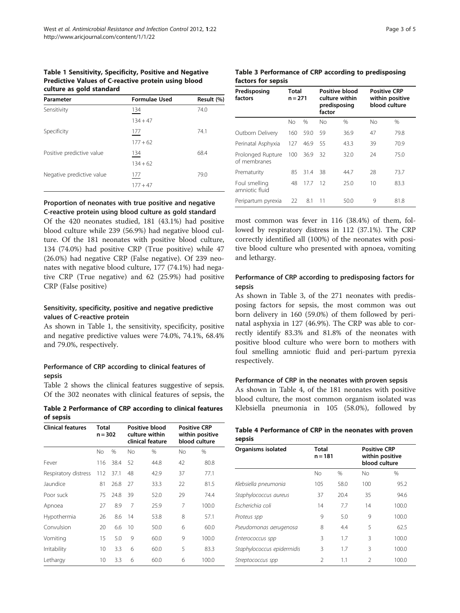#### Table 1 Sensitivity, Specificity, Positive and Negative Predictive Values of C-reactive protein using blood culture as gold standard

| Parameter                 | <b>Formulae Used</b> | Result (%) |  |
|---------------------------|----------------------|------------|--|
| Sensitivity               | 134                  | 74.0       |  |
|                           | $134 + 47$           |            |  |
| Specificity               | 177                  | 74.1       |  |
|                           | $177 + 62$           |            |  |
| Positive predictive value | 134                  | 68.4       |  |
|                           | $134 + 62$           |            |  |
| Negative predictive value | 177                  | 79.0       |  |
|                           | $177 + 47$           |            |  |
|                           |                      |            |  |

#### Proportion of neonates with true positive and negative C-reactive protein using blood culture as gold standard

Of the 420 neonates studied, 181 (43.1%) had positive blood culture while 239 (56.9%) had negative blood culture. Of the 181 neonates with positive blood culture, 134 (74.0%) had positive CRP (True positive) while 47 (26.0%) had negative CRP (False negative). Of 239 neonates with negative blood culture, 177 (74.1%) had negative CRP (True negative) and 62 (25.9%) had positive CRP (False positive)

# Sensitivity, specificity, positive and negative predictive values of C-reactive protein

As shown in Table 1, the sensitivity, specificity, positive and negative predictive values were 74.0%, 74.1%, 68.4% and 79.0%, respectively.

# Performance of CRP according to clinical features of sepsis

Table 2 shows the clinical features suggestive of sepsis. Of the 302 neonates with clinical features of sepsis, the

Table 2 Performance of CRP according to clinical features of sepsis

| <b>Clinical features</b> | Total<br>$n = 302$ |      | Positive blood<br>culture within<br>clinical feature |      | <b>Positive CRP</b><br>within positive<br>blood culture |       |
|--------------------------|--------------------|------|------------------------------------------------------|------|---------------------------------------------------------|-------|
|                          | No                 | %    | No                                                   | %    | No                                                      | %     |
| Fever                    | 116                | 38.4 | 52                                                   | 44.8 | 42                                                      | 80.8  |
| Respiratory distress     | 112                | 37.1 | 48                                                   | 42.9 | 37                                                      | 77.1  |
| Jaundice                 | 81                 | 26.8 | 27                                                   | 33.3 | 22                                                      | 81.5  |
| Poor suck                | 75                 | 24.8 | 39                                                   | 52.0 | 29                                                      | 74.4  |
| Apnoea                   | 27                 | 8.9  | 7                                                    | 25.9 | 7                                                       | 100.0 |
| Hypothermia              | 26                 | 8.6  | 14                                                   | 53.8 | 8                                                       | 57.1  |
| Convulsion               | 20                 | 6.6  | 10                                                   | 50.0 | 6                                                       | 60.0  |
| Vomiting                 | 15                 | 5.0  | 9                                                    | 60.0 | 9                                                       | 100.0 |
| Irritability             | 10                 | 3.3  | 6                                                    | 60.0 | 5                                                       | 83.3  |
| Lethargy                 | 10                 | 3.3  | 6                                                    | 60.0 | 6                                                       | 100.0 |

#### Table 3 Performance of CRP according to predisposing factors for sepsis

| Predisposing<br>factors           | <b>Total</b><br>$n = 271$ |      | Positive blood<br>culture within<br>predisposing<br>factor |               | <b>Positive CRP</b><br>within positive<br>blood culture |      |
|-----------------------------------|---------------------------|------|------------------------------------------------------------|---------------|---------------------------------------------------------|------|
|                                   | No                        | %    | Nο                                                         | $\frac{0}{0}$ | No                                                      | $\%$ |
| Outborn Delivery                  | 160                       | 59.0 | 59                                                         | 36.9          | 47                                                      | 79.8 |
| Perinatal Asphyxia                | 127                       | 46.9 | 55                                                         | 43.3          | 39                                                      | 70.9 |
| Prolonged Rupture<br>of membranes | 100                       | 36.9 | 32                                                         | 32.0          | 24                                                      | 75.0 |
| Prematurity                       | 85                        | 31.4 | 38                                                         | 44.7          | 28                                                      | 73.7 |
| Foul smelling<br>amniotic fluid   | 48                        | 17.7 | 12                                                         | 25.0          | 10                                                      | 83.3 |
| Peripartum pyrexia                | 22                        | 8.1  | 11                                                         | 50.0          | 9                                                       | 81.8 |

most common was fever in 116 (38.4%) of them, followed by respiratory distress in 112 (37.1%). The CRP correctly identified all (100%) of the neonates with positive blood culture who presented with apnoea, vomiting and lethargy.

# Performance of CRP according to predisposing factors for sepsis

As shown in Table 3, of the 271 neonates with predisposing factors for sepsis, the most common was out born delivery in 160 (59.0%) of them followed by perinatal asphyxia in 127 (46.9%). The CRP was able to correctly identify 83.3% and 81.8% of the neonates with positive blood culture who were born to mothers with foul smelling amniotic fluid and peri-partum pyrexia respectively.

#### Performance of CRP in the neonates with proven sepsis

As shown in Table 4, of the 181 neonates with positive blood culture, the most common organism isolated was Klebsiella pneumonia in 105 (58.0%), followed by

### Table 4 Performance of CRP in the neonates with proven sepsis

| Organisms isolated         | Total<br>$n = 181$ |      |                | <b>Positive CRP</b><br>within positive<br>blood culture |  |  |
|----------------------------|--------------------|------|----------------|---------------------------------------------------------|--|--|
|                            | No                 | $\%$ | No             | $\%$                                                    |  |  |
| Klebsiella pneumonia       | 105                | 58.0 | 100            | 95.2                                                    |  |  |
| Staphylococcus aureus      | 37                 | 20.4 | 35             | 94.6                                                    |  |  |
| Escherichia coli           | 14                 | 7.7  | 14             | 100.0                                                   |  |  |
| Proteus spp                | 9                  | 5.0  | 9              | 100.0                                                   |  |  |
| Pseudomonas aerugenosa     | 8                  | 4.4  | 5              | 62.5                                                    |  |  |
| Enterococcus spp           | 3                  | 1.7  | 3              | 100.0                                                   |  |  |
| Staphylococcus epidermidis | 3                  | 1.7  | 3              | 100.0                                                   |  |  |
| Streptococcus spp          | $\mathcal{P}$      | 1.1  | $\mathfrak{D}$ | 100.0                                                   |  |  |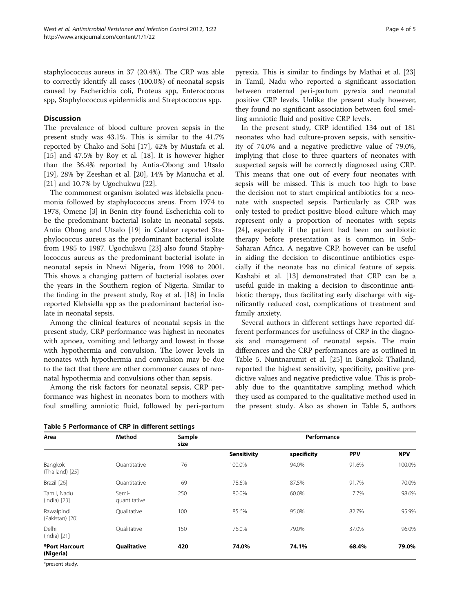staphylococcus aureus in 37 (20.4%). The CRP was able to correctly identify all cases (100.0%) of neonatal sepsis caused by Escherichia coli, Proteus spp, Enterococcus spp, Staphylococcus epidermidis and Streptococcus spp.

#### **Discussion**

The prevalence of blood culture proven sepsis in the present study was 43.1%. This is similar to the 41.7% reported by Chako and Sohi [[17](#page-4-0)], 42% by Mustafa et al. [[15\]](#page-4-0) and 47.5% by Roy et al. [[18](#page-4-0)]. It is however higher than the 36.4% reported by Antia-Obong and Utsalo [[19\]](#page-4-0), 28% by Zeeshan et al. [\[20](#page-4-0)], 14% by Manucha et al. [[21\]](#page-4-0) and 10.7% by Ugochukwu [[22\]](#page-4-0).

The commonest organism isolated was klebsiella pneumonia followed by staphylococcus areus. From 1974 to 1978, Omene [[3\]](#page-4-0) in Benin city found Escherichia coli to be the predominant bacterial isolate in neonatal sepsis. Antia Obong and Utsalo [[19](#page-4-0)] in Calabar reported Staphylococcus aureus as the predominant bacterial isolate from 1985 to 1987. Ugochukwu [\[23\]](#page-4-0) also found Staphylococcus aureus as the predominant bacterial isolate in neonatal sepsis in Nnewi Nigeria, from 1998 to 2001. This shows a changing pattern of bacterial isolates over the years in the Southern region of Nigeria. Similar to the finding in the present study, Roy et al. [\[18](#page-4-0)] in India reported Klebsiella spp as the predominant bacterial isolate in neonatal sepsis.

Among the clinical features of neonatal sepsis in the present study, CRP performance was highest in neonates with apnoea, vomiting and lethargy and lowest in those with hypothermia and convulsion. The lower levels in neonates with hypothermia and convulsion may be due to the fact that there are other commoner causes of neonatal hypothermia and convulsions other than sepsis.

Among the risk factors for neonatal sepsis, CRP performance was highest in neonates born to mothers with foul smelling amniotic fluid, followed by peri-partum

| Table 5 Performance of CRP in different settings |  |  |  |
|--------------------------------------------------|--|--|--|
|--------------------------------------------------|--|--|--|

pyrexia. This is similar to findings by Mathai et al. [[23](#page-4-0)] in Tamil, Nadu who reported a significant association between maternal peri-partum pyrexia and neonatal positive CRP levels. Unlike the present study however, they found no significant association between foul smelling amniotic fluid and positive CRP levels.

In the present study, CRP identified 134 out of 181 neonates who had culture-proven sepsis, with sensitivity of 74.0% and a negative predictive value of 79.0%, implying that close to three quarters of neonates with suspected sepsis will be correctly diagnosed using CRP. This means that one out of every four neonates with sepsis will be missed. This is much too high to base the decision not to start empirical antibiotics for a neonate with suspected sepsis. Particularly as CRP was only tested to predict positive blood culture which may represent only a proportion of neonates with sepsis [[24\]](#page-4-0), especially if the patient had been on antibiotic therapy before presentation as is common in Sub-Saharan Africa. A negative CRP, however can be useful in aiding the decision to discontinue antibiotics especially if the neonate has no clinical feature of sepsis. Kashabi et al. [[13](#page-4-0)] demonstrated that CRP can be a useful guide in making a decision to discontinue antibiotic therapy, thus facilitating early discharge with significantly reduced cost, complications of treatment and family anxiety.

Several authors in different settings have reported different performances for usefulness of CRP in the diagnosis and management of neonatal sepsis. The main differences and the CRP performances are as outlined in Table 5. Nuntnarumit et al. [\[25](#page-4-0)] in Bangkok Thailand, reported the highest sensitivity, specificity, positive predictive values and negative predictive value. This is probably due to the quantitative sampling method which they used as compared to the qualitative method used in the present study. Also as shown in Table 5, authors

| Area                          | Method                | Sample<br>size |                    | Performance |            |            |
|-------------------------------|-----------------------|----------------|--------------------|-------------|------------|------------|
|                               |                       |                | <b>Sensitivity</b> | specificity | <b>PPV</b> | <b>NPV</b> |
| Bangkok<br>(Thailand) [25]    | Ouantitative          | 76             | 100.0%             | 94.0%       | 91.6%      | 100.0%     |
| Brazil [26]                   | Ouantitative          | 69             | 78.6%              | 87.5%       | 91.7%      | 70.0%      |
| Tamil, Nadu<br>(India) [23]   | Semi-<br>quantitative | 250            | 80.0%              | 60.0%       | 7.7%       | 98.6%      |
| Rawalpindi<br>(Pakistan) [20] | Oualitative           | 100            | 85.6%              | 95.0%       | 82.7%      | 95.9%      |
| <b>Delhi</b><br>(India) [21]  | Oualitative           | 150            | 76.0%              | 79.0%       | 37.0%      | 96.0%      |
| *Port Harcourt<br>(Nigeria)   | <b>Qualitative</b>    | 420            | 74.0%              | 74.1%       | 68.4%      | 79.0%      |

\*present study.